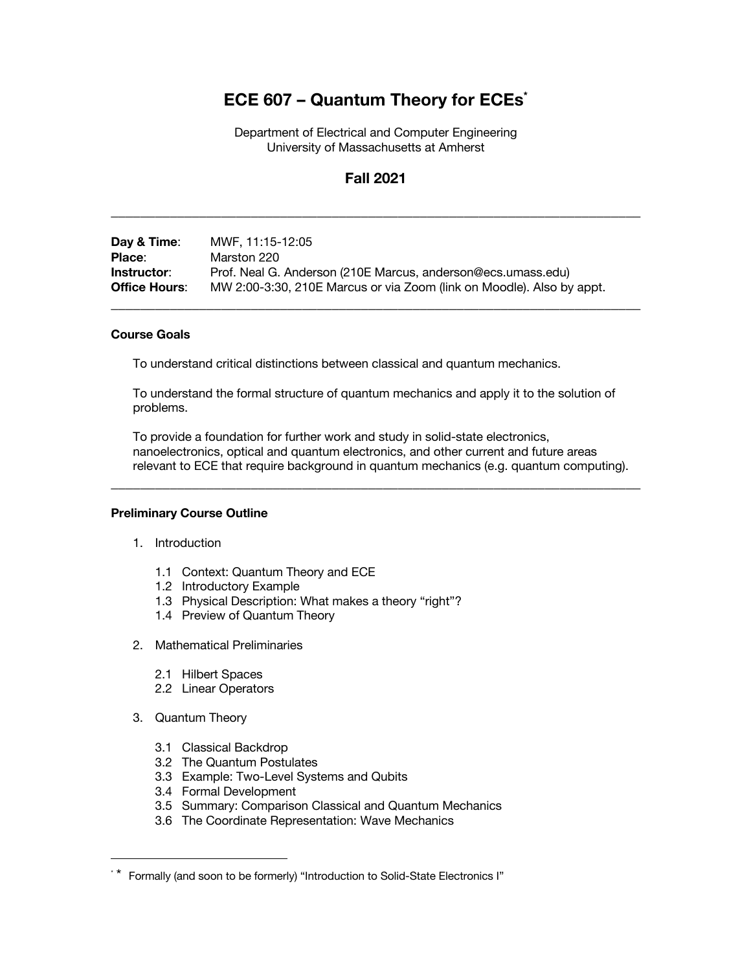# **ECE 607 – Quantum Theory for ECEs\***

Department of Electrical and Computer Engineering University of Massachusetts at Amherst

# **Fall 2021**

\_\_\_\_\_\_\_\_\_\_\_\_\_\_\_\_\_\_\_\_\_\_\_\_\_\_\_\_\_\_\_\_\_\_\_\_\_\_\_\_\_\_\_\_\_\_\_\_\_\_\_\_\_\_\_\_\_\_\_\_\_\_\_\_\_\_\_\_\_\_\_\_

| Day & Time:          | MWF, 11:15-12:05                                                      |
|----------------------|-----------------------------------------------------------------------|
| Place:               | Marston 220                                                           |
| Instructor:          | Prof. Neal G. Anderson (210E Marcus, anderson@ecs.umass.edu)          |
| <b>Office Hours:</b> | MW 2:00-3:30, 210E Marcus or via Zoom (link on Moodle). Also by appt. |

### **Course Goals**

To understand critical distinctions between classical and quantum mechanics.

To understand the formal structure of quantum mechanics and apply it to the solution of problems.

To provide a foundation for further work and study in solid-state electronics, nanoelectronics, optical and quantum electronics, and other current and future areas relevant to ECE that require background in quantum mechanics (e.g. quantum computing).

\_\_\_\_\_\_\_\_\_\_\_\_\_\_\_\_\_\_\_\_\_\_\_\_\_\_\_\_\_\_\_\_\_\_\_\_\_\_\_\_\_\_\_\_\_\_\_\_\_\_\_\_\_\_\_\_\_\_\_\_\_\_\_\_\_\_\_\_\_\_\_\_

## **Preliminary Course Outline**

- 1. Introduction
	- 1.1 Context: Quantum Theory and ECE
	- 1.2 Introductory Example
	- 1.3 Physical Description: What makes a theory "right"?
	- 1.4 Preview of Quantum Theory
- 2. Mathematical Preliminaries
	- 2.1 Hilbert Spaces
	- 2.2 Linear Operators
- 3. Quantum Theory
	- 3.1 Classical Backdrop
	- 3.2 The Quantum Postulates
	- 3.3 Example: Two-Level Systems and Qubits
	- 3.4 Formal Development
	- 3.5 Summary: Comparison Classical and Quantum Mechanics
	- 3.6 The Coordinate Representation: Wave Mechanics

<sup>\* \*</sup> Formally (and soon to be formerly) "Introduction to Solid-State Electronics I"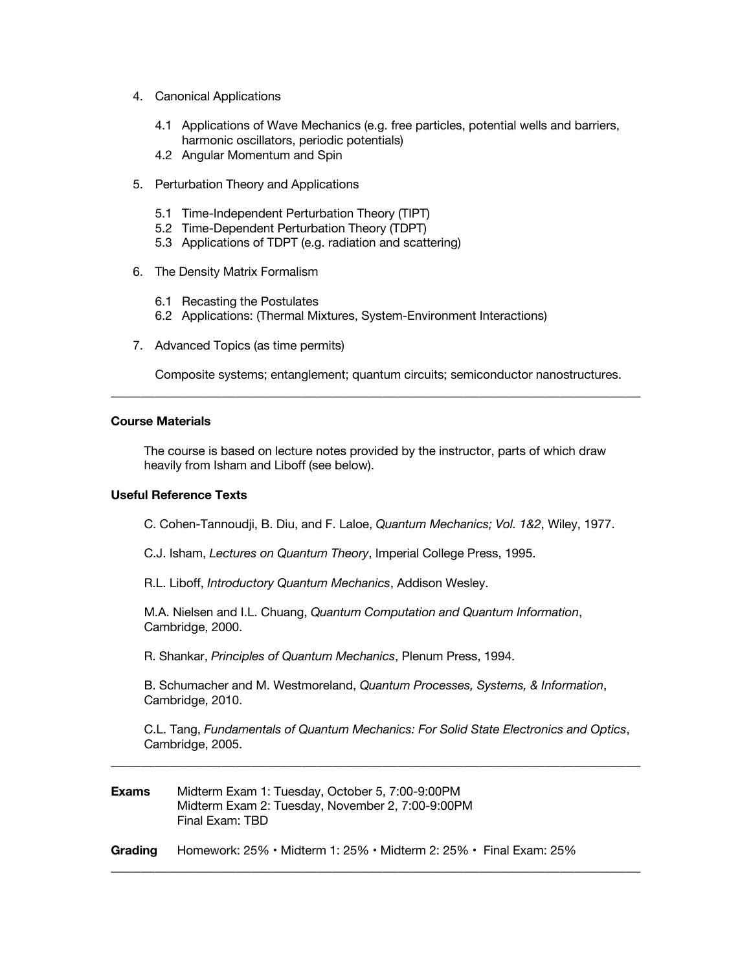- 4. Canonical Applications
	- 4.1 Applications of Wave Mechanics (e.g. free particles, potential wells and barriers, harmonic oscillators, periodic potentials)
	- 4.2 Angular Momentum and Spin
- 5. Perturbation Theory and Applications
	- 5.1 Time-Independent Perturbation Theory (TIPT)
	- 5.2 Time-Dependent Perturbation Theory (TDPT)
	- 5.3 Applications of TDPT (e.g. radiation and scattering)
- 6. The Density Matrix Formalism
	- 6.1 Recasting the Postulates
	- 6.2 Applications: (Thermal Mixtures, System-Environment Interactions)
- 7. Advanced Topics (as time permits)

Composite systems; entanglement; quantum circuits; semiconductor nanostructures.

### **Course Materials**

The course is based on lecture notes provided by the instructor, parts of which draw heavily from Isham and Liboff (see below).

\_\_\_\_\_\_\_\_\_\_\_\_\_\_\_\_\_\_\_\_\_\_\_\_\_\_\_\_\_\_\_\_\_\_\_\_\_\_\_\_\_\_\_\_\_\_\_\_\_\_\_\_\_\_\_\_\_\_\_\_\_\_\_\_\_\_\_\_\_\_\_\_

#### **Useful Reference Texts**

C. Cohen-Tannoudji, B. Diu, and F. Laloe, *Quantum Mechanics; Vol. 1&2*, Wiley, 1977.

C.J. Isham, *Lectures on Quantum Theory*, Imperial College Press, 1995.

R.L. Liboff, *Introductory Quantum Mechanics*, Addison Wesley.

M.A. Nielsen and I.L. Chuang, *Quantum Computation and Quantum Information*, Cambridge, 2000.

R. Shankar, *Principles of Quantum Mechanics*, Plenum Press, 1994.

B. Schumacher and M. Westmoreland, *Quantum Processes, Systems, & Information*, Cambridge, 2010.

\_\_\_\_\_\_\_\_\_\_\_\_\_\_\_\_\_\_\_\_\_\_\_\_\_\_\_\_\_\_\_\_\_\_\_\_\_\_\_\_\_\_\_\_\_\_\_\_\_\_\_\_\_\_\_\_\_\_\_\_\_\_\_\_\_\_\_\_\_\_\_\_

\_\_\_\_\_\_\_\_\_\_\_\_\_\_\_\_\_\_\_\_\_\_\_\_\_\_\_\_\_\_\_\_\_\_\_\_\_\_\_\_\_\_\_\_\_\_\_\_\_\_\_\_\_\_\_\_\_\_\_\_\_\_\_\_\_\_\_\_\_\_\_\_

C.L. Tang, *Fundamentals of Quantum Mechanics: For Solid State Electronics and Optics*, Cambridge, 2005.

**Exams** Midterm Exam 1: Tuesday, October 5, 7:00-9:00PM Midterm Exam 2: Tuesday, November 2, 7:00-9:00PM Final Exam: TBD

**Grading** Homework: 25% • Midterm 1: 25% • Midterm 2: 25% • Final Exam: 25%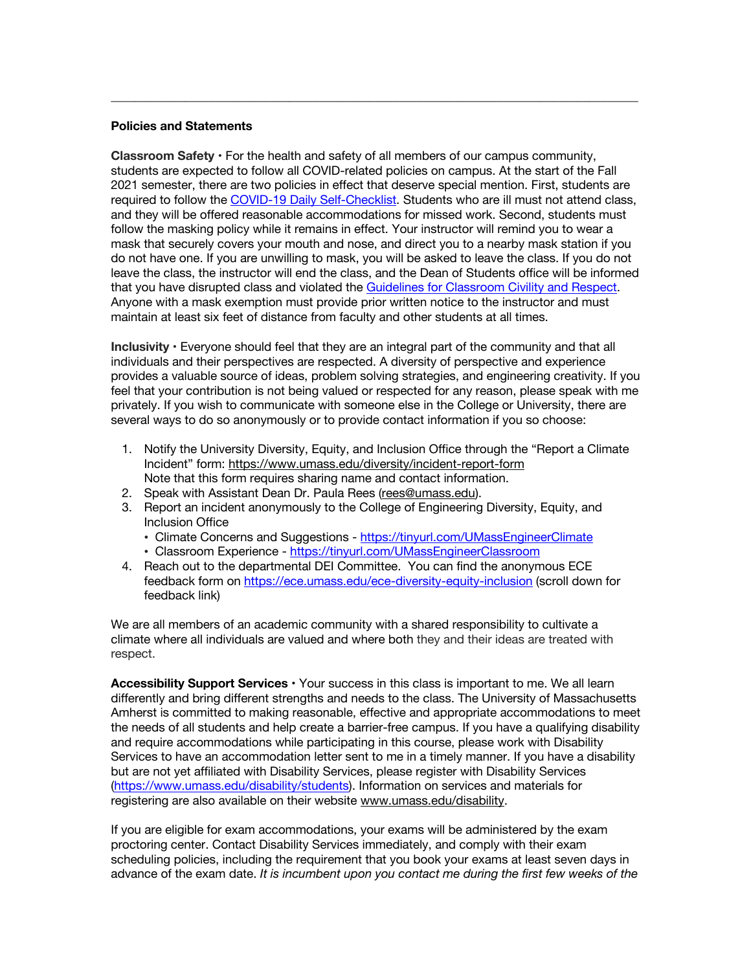#### **Policies and Statements**

**Classroom Safety •** For the health and safety of all members of our campus community, students are expected to follow all COVID-related policies on campus. At the start of the Fall 2021 semester, there are two policies in effect that deserve special mention. First, students are required to follow the COVID-19 Daily Self-Checklist. Students who are ill must not attend class, and they will be offered reasonable accommodations for missed work. Second, students must follow the masking policy while it remains in effect. Your instructor will remind you to wear a mask that securely covers your mouth and nose, and direct you to a nearby mask station if you do not have one. If you are unwilling to mask, you will be asked to leave the class. If you do not leave the class, the instructor will end the class, and the Dean of Students office will be informed that you have disrupted class and violated the Guidelines for Classroom Civility and Respect. Anyone with a mask exemption must provide prior written notice to the instructor and must maintain at least six feet of distance from faculty and other students at all times.

\_\_\_\_\_\_\_\_\_\_\_\_\_\_\_\_\_\_\_\_\_\_\_\_\_\_\_\_\_\_\_\_\_\_\_\_\_\_\_\_\_\_\_\_\_\_\_\_\_\_\_\_\_\_\_\_\_\_\_\_\_\_\_\_\_\_\_\_\_\_\_\_\_\_\_\_\_\_\_\_\_\_\_\_\_\_

**Inclusivity •** Everyone should feel that they are an integral part of the community and that all individuals and their perspectives are respected. A diversity of perspective and experience provides a valuable source of ideas, problem solving strategies, and engineering creativity. If you feel that your contribution is not being valued or respected for any reason, please speak with me privately. If you wish to communicate with someone else in the College or University, there are several ways to do so anonymously or to provide contact information if you so choose:

- 1. Notify the University Diversity, Equity, and Inclusion Office through the "Report a Climate Incident" form: https://www.umass.edu/diversity/incident-report-form Note that this form requires sharing name and contact information.
- 2. Speak with Assistant Dean Dr. Paula Rees (rees@umass.edu).
- 3. Report an incident anonymously to the College of Engineering Diversity, Equity, and Inclusion Office
	- Climate Concerns and Suggestions https://tinyurl.com/UMassEngineerClimate
	- Classroom Experience https://tinyurl.com/UMassEngineerClassroom
- 4. Reach out to the departmental DEI Committee. You can find the anonymous ECE feedback form on https://ece.umass.edu/ece-diversity-equity-inclusion (scroll down for feedback link)

We are all members of an academic community with a shared responsibility to cultivate a climate where all individuals are valued and where both they and their ideas are treated with respect.

**Accessibility Support Services •** Your success in this class is important to me. We all learn differently and bring different strengths and needs to the class. The University of Massachusetts Amherst is committed to making reasonable, effective and appropriate accommodations to meet the needs of all students and help create a barrier-free campus. If you have a qualifying disability and require accommodations while participating in this course, please work with Disability Services to have an accommodation letter sent to me in a timely manner. If you have a disability but are not yet affiliated with Disability Services, please register with Disability Services (https://www.umass.edu/disability/students). Information on services and materials for registering are also available on their website www.umass.edu/disability.

If you are eligible for exam accommodations, your exams will be administered by the exam proctoring center. Contact Disability Services immediately, and comply with their exam scheduling policies, including the requirement that you book your exams at least seven days in advance of the exam date. *It is incumbent upon you contact me during the first few weeks of the*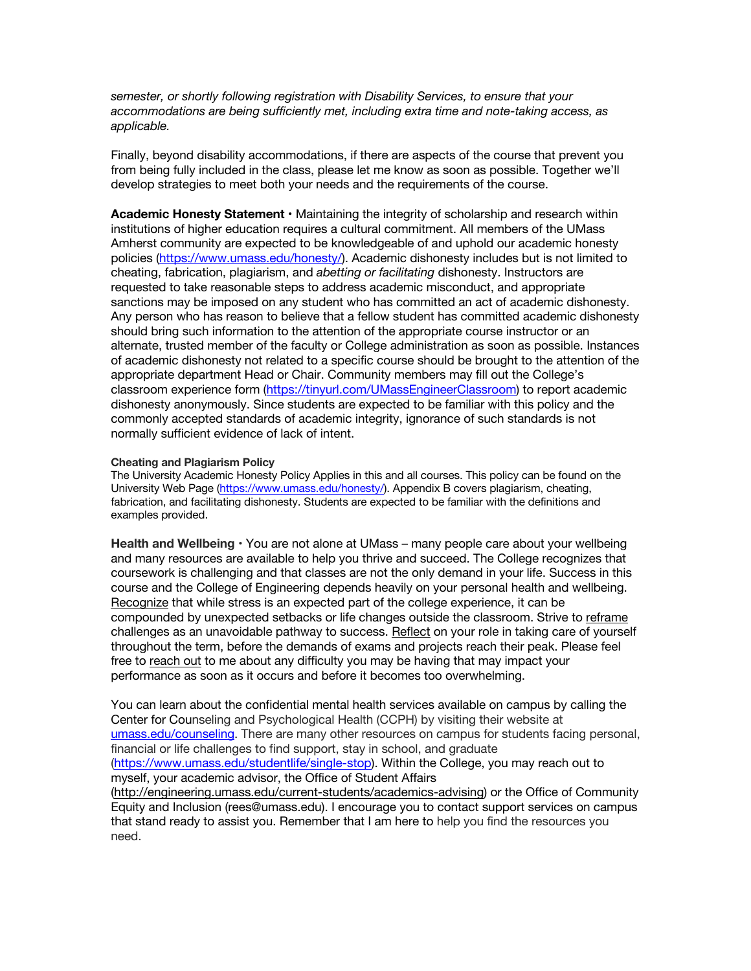*semester, or shortly following registration with Disability Services, to ensure that your accommodations are being sufficiently met, including extra time and note-taking access, as applicable.*

Finally, beyond disability accommodations, if there are aspects of the course that prevent you from being fully included in the class, please let me know as soon as possible. Together we'll develop strategies to meet both your needs and the requirements of the course.

**Academic Honesty Statement •** Maintaining the integrity of scholarship and research within institutions of higher education requires a cultural commitment. All members of the UMass Amherst community are expected to be knowledgeable of and uphold our academic honesty policies (https://www.umass.edu/honesty/). Academic dishonesty includes but is not limited to cheating, fabrication, plagiarism, and *abetting or facilitating* dishonesty. Instructors are requested to take reasonable steps to address academic misconduct, and appropriate sanctions may be imposed on any student who has committed an act of academic dishonesty. Any person who has reason to believe that a fellow student has committed academic dishonesty should bring such information to the attention of the appropriate course instructor or an alternate, trusted member of the faculty or College administration as soon as possible. Instances of academic dishonesty not related to a specific course should be brought to the attention of the appropriate department Head or Chair. Community members may fill out the College's classroom experience form (https://tinyurl.com/UMassEngineerClassroom) to report academic dishonesty anonymously. Since students are expected to be familiar with this policy and the commonly accepted standards of academic integrity, ignorance of such standards is not normally sufficient evidence of lack of intent.

#### **Cheating and Plagiarism Policy**

The University Academic Honesty Policy Applies in this and all courses. This policy can be found on the University Web Page (https://www.umass.edu/honesty/). Appendix B covers plagiarism, cheating, fabrication, and facilitating dishonesty. Students are expected to be familiar with the definitions and examples provided.

**Health and Wellbeing •** You are not alone at UMass – many people care about your wellbeing and many resources are available to help you thrive and succeed. The College recognizes that coursework is challenging and that classes are not the only demand in your life. Success in this course and the College of Engineering depends heavily on your personal health and wellbeing. Recognize that while stress is an expected part of the college experience, it can be compounded by unexpected setbacks or life changes outside the classroom. Strive to reframe challenges as an unavoidable pathway to success. Reflect on your role in taking care of yourself throughout the term, before the demands of exams and projects reach their peak. Please feel free to reach out to me about any difficulty you may be having that may impact your performance as soon as it occurs and before it becomes too overwhelming.

You can learn about the confidential mental health services available on campus by calling the Center for Counseling and Psychological Health (CCPH) by visiting their website at umass.edu/counseling. There are many other resources on campus for students facing personal, financial or life challenges to find support, stay in school, and graduate (https://www.umass.edu/studentlife/single-stop). Within the College, you may reach out to myself, your academic advisor, the Office of Student Affairs

(http://engineering.umass.edu/current-students/academics-advising) or the Office of Community Equity and Inclusion (rees@umass.edu). I encourage you to contact support services on campus that stand ready to assist you. Remember that I am here to help you find the resources you need.